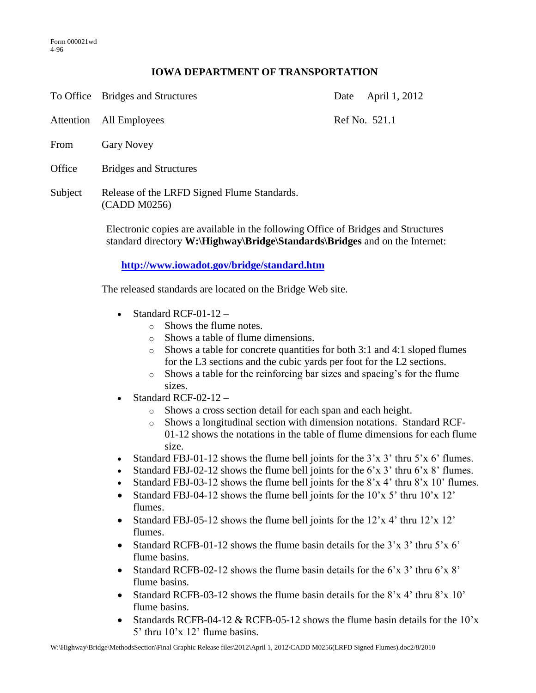## **IOWA DEPARTMENT OF TRANSPORTATION**

To Office Bridges and Structures Date April 1, 2012

Attention All Employees Ref No. 521.1

- From Gary Novey
- Office Bridges and Structures
- Subject Release of the LRFD Signed Flume Standards. (CADD M0256)

Electronic copies are available in the following Office of Bridges and Structures standard directory **W:\Highway\Bridge\Standards\Bridges** and on the Internet:

**<http://www.iowadot.gov/bridge/standard.htm>**

The released standards are located on the Bridge Web site.

- Standard RCF-01-12
	- $\circ$  Shows the flume notes.
	- o Shows a table of flume dimensions.
	- o Shows a table for concrete quantities for both 3:1 and 4:1 sloped flumes for the L3 sections and the cubic yards per foot for the L2 sections.
	- o Shows a table for the reinforcing bar sizes and spacing's for the flume sizes.
- Standard RCF-02-12
	- o Shows a cross section detail for each span and each height.
	- o Shows a longitudinal section with dimension notations. Standard RCF-01-12 shows the notations in the table of flume dimensions for each flume size.
- Standard FBJ-01-12 shows the flume bell joints for the 3'x 3' thru 5'x 6' flumes.
- Standard FBJ-02-12 shows the flume bell joints for the 6'x 3' thru 6'x 8' flumes.
- Standard FBJ-03-12 shows the flume bell joints for the 8'x 4' thru 8'x 10' flumes.
- Standard FBJ-04-12 shows the flume bell joints for the 10'x 5' thru 10'x 12' flumes.
- Standard FBJ-05-12 shows the flume bell joints for the  $12'x$  4' thru  $12'x$  12' flumes.
- Standard RCFB-01-12 shows the flume basin details for the 3'x 3' thru 5'x 6' flume basins.
- Standard RCFB-02-12 shows the flume basin details for the  $6'x\,3'$  thru  $6'x\,8'$ flume basins.
- Standard RCFB-03-12 shows the flume basin details for the  $8'x$  4' thru  $8'x$  10' flume basins.
- Standards RCFB-04-12 & RCFB-05-12 shows the flume basin details for the  $10^{\circ}$ x 5' thru 10'x 12' flume basins.